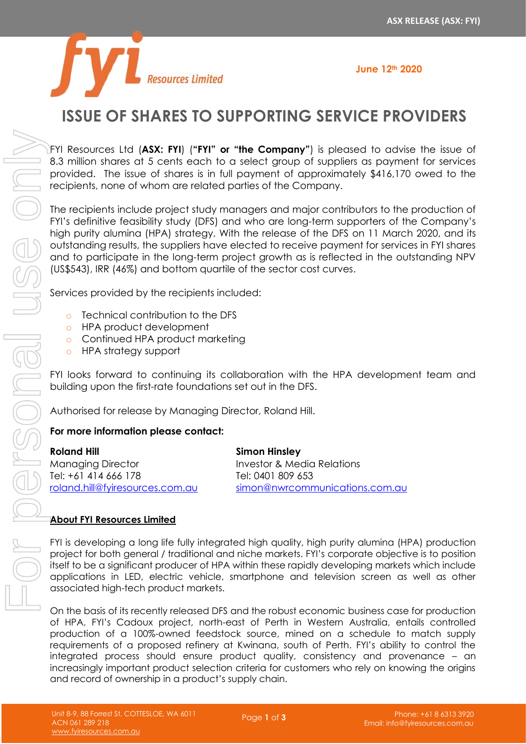

# **ISSUE OF SHARES TO SUPPORTING SERVICE PROVIDERS**

FYI Resources Ltd (**ASX: FYI**) (**"FYI" or "the Company"**) is pleased to advise the issue of 8.3 million shares at 5 cents each to a select group of suppliers as payment for services provided. The issue of shares is in full payment of approximately \$416,170 owed to the recipients, none of whom are related parties of the Company.

The recipients include project study managers and major contributors to the production of FYI's definitive feasibility study (DFS) and who are long-term supporters of the Company's high purity alumina (HPA) strategy. With the release of the DFS on 11 March 2020, and its outstanding results, the suppliers have elected to receive payment for services in FYI shares and to participate in the long-term project growth as is reflected in the outstanding NPV (US\$543), IRR (46%) and bottom quartile of the sector cost curves.

Services provided by the recipients included:

- o Technical contribution to the DFS
- o HPA product development
- o Continued HPA product marketing
- o HPA strategy support

FYI looks forward to continuing its collaboration with the HPA development team and building upon the first-rate foundations set out in the DFS.

Authorised for release by Managing Director, Roland Hill.

## **For more information please contact:**

| Roland Hill                     | <b>Simon Hinsley</b>           |
|---------------------------------|--------------------------------|
| Managing Director               | Investor & Media Relations     |
| Tel: +61 414 666 178            | Tel: 0401 809 653              |
| roland.hill@fyiresources.com.au | simon@nwrcommunications.com.au |

## **About FYI Resources Limited**

FYI is developing a long life fully integrated high quality, high purity alumina (HPA) production project for both general / traditional and niche markets. FYI's corporate objective is to position itself to be a significant producer of HPA within these rapidly developing markets which include applications in LED, electric vehicle, smartphone and television screen as well as other associated high-tech product markets.

On the basis of its recently released DFS and the robust economic business case for production of HPA, FYI's Cadoux project, north-east of Perth in Western Australia, entails controlled production of a 100%-owned feedstock source, mined on a schedule to match supply requirements of a proposed refinery at Kwinana, south of Perth. FYI's ability to control the integrated process should ensure product quality, consistency and provenance – an increasingly important product selection criteria for customers who rely on knowing the origins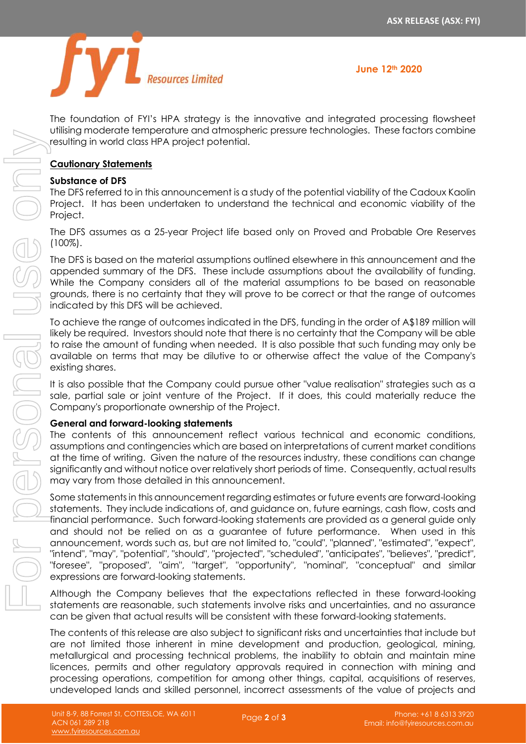

The foundation of FYI's HPA strategy is the innovative and integrated processing flowsheet utilising moderate temperature and atmospheric pressure technologies. These factors combine resulting in world class HPA project potential.

## **Cautionary Statements**

## **Substance of DFS**

The DFS referred to in this announcement is a study of the potential viability of the Cadoux Kaolin Project. It has been undertaken to understand the technical and economic viability of the Project.

The DFS assumes as a 25-year Project life based only on Proved and Probable Ore Reserves (100%).

The DFS is based on the material assumptions outlined elsewhere in this announcement and the appended summary of the DFS. These include assumptions about the availability of funding. While the Company considers all of the material assumptions to be based on reasonable grounds, there is no certainty that they will prove to be correct or that the range of outcomes indicated by this DFS will be achieved.

To achieve the range of outcomes indicated in the DFS, funding in the order of A\$189 million will likely be required. Investors should note that there is no certainty that the Company will be able to raise the amount of funding when needed. It is also possible that such funding may only be available on terms that may be dilutive to or otherwise affect the value of the Company's existing shares.

It is also possible that the Company could pursue other "value realisation" strategies such as a sale, partial sale or joint venture of the Project. If it does, this could materially reduce the Company's proportionate ownership of the Project.

## **General and forward-looking statements**

The contents of this announcement reflect various technical and economic conditions, assumptions and contingencies which are based on interpretations of current market conditions at the time of writing. Given the nature of the resources industry, these conditions can change significantly and without notice over relatively short periods of time. Consequently, actual results may vary from those detailed in this announcement.

Some statements in this announcement regarding estimates or future events are forward-looking statements. They include indications of, and guidance on, future earnings, cash flow, costs and financial performance. Such forward-looking statements are provided as a general guide only and should not be relied on as a guarantee of future performance. When used in this announcement, words such as, but are not limited to, "could", "planned", "estimated", "expect", "intend", "may", "potential", "should", "projected", "scheduled", "anticipates", "believes", "predict", "foresee", "proposed", "aim", "target", "opportunity", "nominal", "conceptual" and similar expressions are forward-looking statements. undeveloped lands and skilled personnel is a skilled personnel in the value of the value of the personnel incorrect as the value of the personnel incorrect and For personnel incorrect as the value of the project and For pe

Although the Company believes that the expectations reflected in these forward-looking statements are reasonable, such statements involve risks and uncertainties, and no assurance can be given that actual results will be consistent with these forward-looking statements.

The contents of this release are also subject to significant risks and uncertainties that include but are not limited those inherent in mine development and production, geological, mining, metallurgical and processing technical problems, the inability to obtain and maintain mine licences, permits and other regulatory approvals required in connection with mining and processing operations, competition for among other things, capital, acquisitions of reserves,